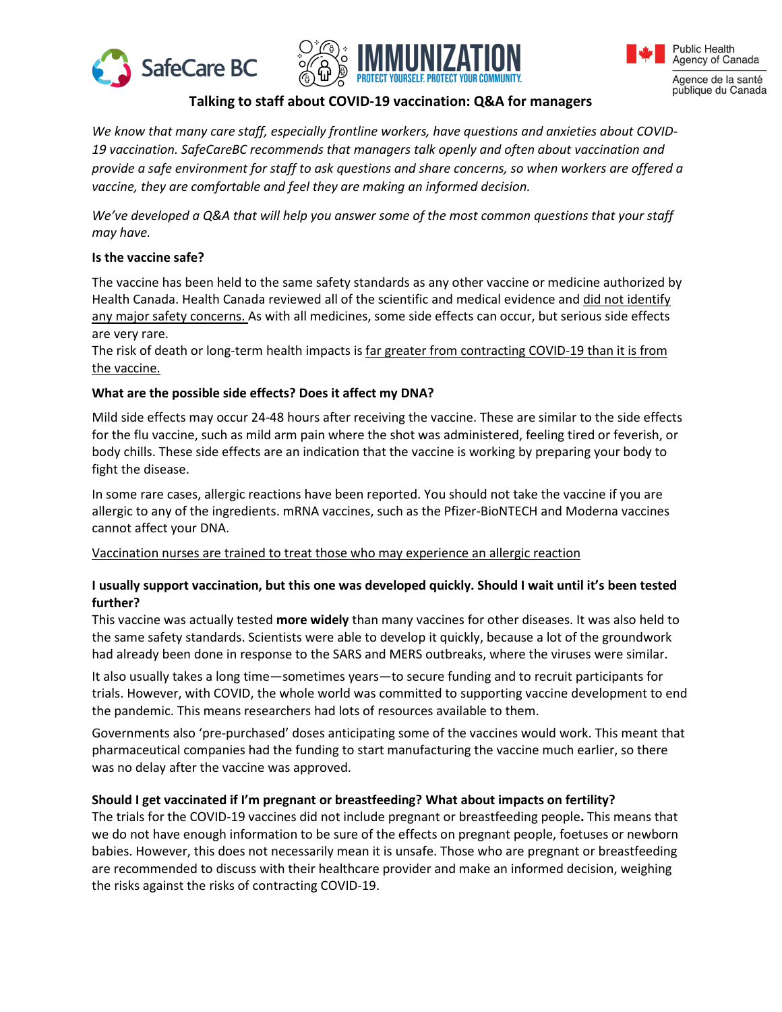





Agence de la santé publique du Canada

# **Talking to staff about COVID-19 vaccination: Q&A for managers**

*We know that many care staff, especially frontline workers, have questions and anxieties about COVID-19 vaccination. SafeCareBC recommends that managers talk openly and often about vaccination and provide a safe environment for staff to ask questions and share concerns, so when workers are offered a vaccine, they are comfortable and feel they are making an informed decision.* 

*We've developed a Q&A that will help you answer some of the most common questions that your staff may have.* 

## **Is the vaccine safe?**

The vaccine has been held to the same safety standards as any other vaccine or medicine authorized by Health Canada. Health Canada reviewed all of the scientific and medical evidence and did not identify any major safety concerns. As with all medicines, some side effects can occur, but serious side effects are very rare.

The risk of death or long-term health impacts is far greater from contracting COVID-19 than it is from the vaccine.

## **What are the possible side effects? Does it affect my DNA?**

Mild side effects may occur 24-48 hours after receiving the vaccine. These are similar to the side effects for the flu vaccine, such as mild arm pain where the shot was administered, feeling tired or feverish, or body chills. These side effects are an indication that the vaccine is working by preparing your body to fight the disease.

In some rare cases, allergic reactions have been reported. You should not take the vaccine if you are allergic to any of the ingredients. mRNA vaccines, such as the Pfizer-BioNTECH and Moderna vaccines cannot affect your DNA.

#### Vaccination nurses are trained to treat those who may experience an allergic reaction

## **I usually support vaccination, but this one was developed quickly. Should I wait until it's been tested further?**

This vaccine was actually tested **more widely** than many vaccines for other diseases. It was also held to the same safety standards. Scientists were able to develop it quickly, because a lot of the groundwork had already been done in response to the SARS and MERS outbreaks, where the viruses were similar.

It also usually takes a long time—sometimes years—to secure funding and to recruit participants for trials. However, with COVID, the whole world was committed to supporting vaccine development to end the pandemic. This means researchers had lots of resources available to them.

Governments also 'pre-purchased' doses anticipating some of the vaccines would work. This meant that pharmaceutical companies had the funding to start manufacturing the vaccine much earlier, so there was no delay after the vaccine was approved.

#### **Should I get vaccinated if I'm pregnant or breastfeeding? What about impacts on fertility?**

The trials for the COVID-19 vaccines did not include pregnant or breastfeeding people**.** This means that we do not have enough information to be sure of the effects on pregnant people, foetuses or newborn babies. However, this does not necessarily mean it is unsafe. Those who are pregnant or breastfeeding are recommended to discuss with their healthcare provider and make an informed decision, weighing the risks against the risks of contracting COVID-19.